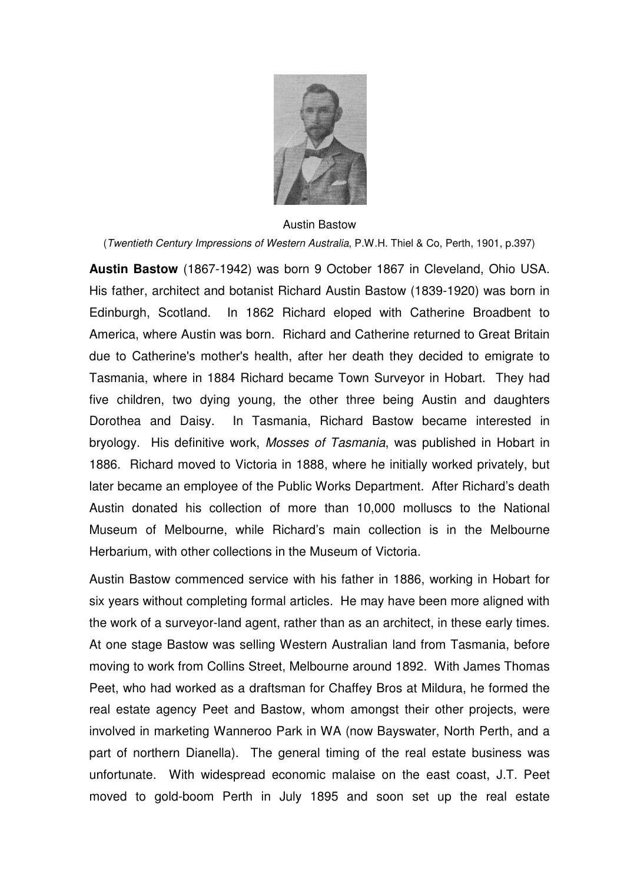

## Austin Bastow

(Twentieth Century Impressions of Western Australia, P.W.H. Thiel & Co, Perth, 1901, p.397)

**Austin Bastow** (1867-1942) was born 9 October 1867 in Cleveland, Ohio USA. His father, architect and botanist Richard Austin Bastow (1839-1920) was born in Edinburgh, Scotland. In 1862 Richard eloped with Catherine Broadbent to America, where Austin was born. Richard and Catherine returned to Great Britain due to Catherine's mother's health, after her death they decided to emigrate to Tasmania, where in 1884 Richard became Town Surveyor in Hobart. They had five children, two dying young, the other three being Austin and daughters Dorothea and Daisy. In Tasmania, Richard Bastow became interested in bryology. His definitive work, Mosses of Tasmania, was published in Hobart in 1886. Richard moved to Victoria in 1888, where he initially worked privately, but later became an employee of the Public Works Department. After Richard's death Austin donated his collection of more than 10,000 molluscs to the National Museum of Melbourne, while Richard's main collection is in the Melbourne Herbarium, with other collections in the Museum of Victoria.

Austin Bastow commenced service with his father in 1886, working in Hobart for six years without completing formal articles. He may have been more aligned with the work of a surveyor-land agent, rather than as an architect, in these early times. At one stage Bastow was selling Western Australian land from Tasmania, before moving to work from Collins Street, Melbourne around 1892. With James Thomas Peet, who had worked as a draftsman for Chaffey Bros at Mildura, he formed the real estate agency Peet and Bastow, whom amongst their other projects, were involved in marketing Wanneroo Park in WA (now Bayswater, North Perth, and a part of northern Dianella). The general timing of the real estate business was unfortunate. With widespread economic malaise on the east coast, J.T. Peet moved to gold-boom Perth in July 1895 and soon set up the real estate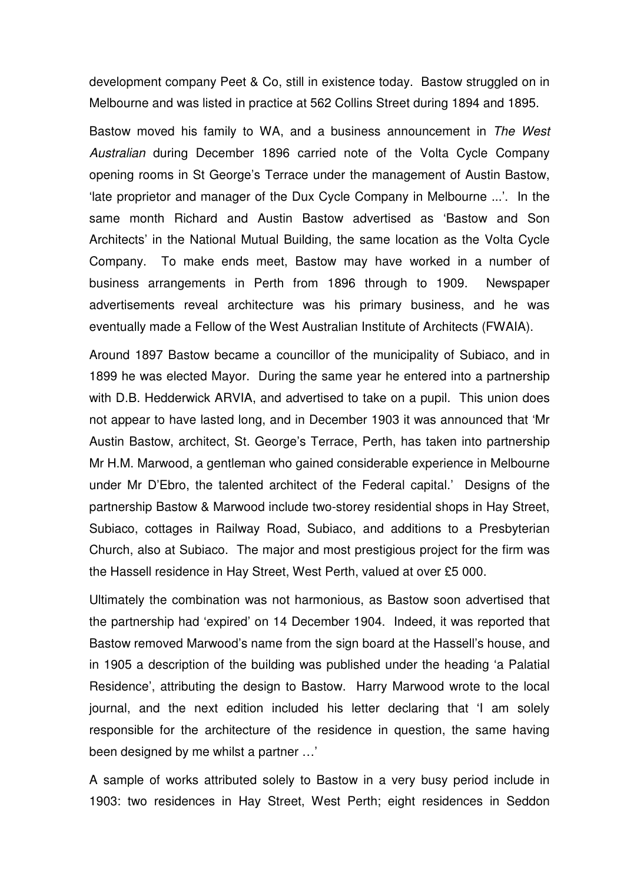development company Peet & Co, still in existence today. Bastow struggled on in Melbourne and was listed in practice at 562 Collins Street during 1894 and 1895.

Bastow moved his family to WA, and a business announcement in The West Australian during December 1896 carried note of the Volta Cycle Company opening rooms in St George's Terrace under the management of Austin Bastow, 'late proprietor and manager of the Dux Cycle Company in Melbourne ...'. In the same month Richard and Austin Bastow advertised as 'Bastow and Son Architects' in the National Mutual Building, the same location as the Volta Cycle Company. To make ends meet, Bastow may have worked in a number of business arrangements in Perth from 1896 through to 1909. Newspaper advertisements reveal architecture was his primary business, and he was eventually made a Fellow of the West Australian Institute of Architects (FWAIA).

Around 1897 Bastow became a councillor of the municipality of Subiaco, and in 1899 he was elected Mayor. During the same year he entered into a partnership with D.B. Hedderwick ARVIA, and advertised to take on a pupil. This union does not appear to have lasted long, and in December 1903 it was announced that 'Mr Austin Bastow, architect, St. George's Terrace, Perth, has taken into partnership Mr H.M. Marwood, a gentleman who gained considerable experience in Melbourne under Mr D'Ebro, the talented architect of the Federal capital.' Designs of the partnership Bastow & Marwood include two-storey residential shops in Hay Street, Subiaco, cottages in Railway Road, Subiaco, and additions to a Presbyterian Church, also at Subiaco. The major and most prestigious project for the firm was the Hassell residence in Hay Street, West Perth, valued at over £5 000.

Ultimately the combination was not harmonious, as Bastow soon advertised that the partnership had 'expired' on 14 December 1904. Indeed, it was reported that Bastow removed Marwood's name from the sign board at the Hassell's house, and in 1905 a description of the building was published under the heading 'a Palatial Residence', attributing the design to Bastow. Harry Marwood wrote to the local journal, and the next edition included his letter declaring that 'I am solely responsible for the architecture of the residence in question, the same having been designed by me whilst a partner …'

A sample of works attributed solely to Bastow in a very busy period include in 1903: two residences in Hay Street, West Perth; eight residences in Seddon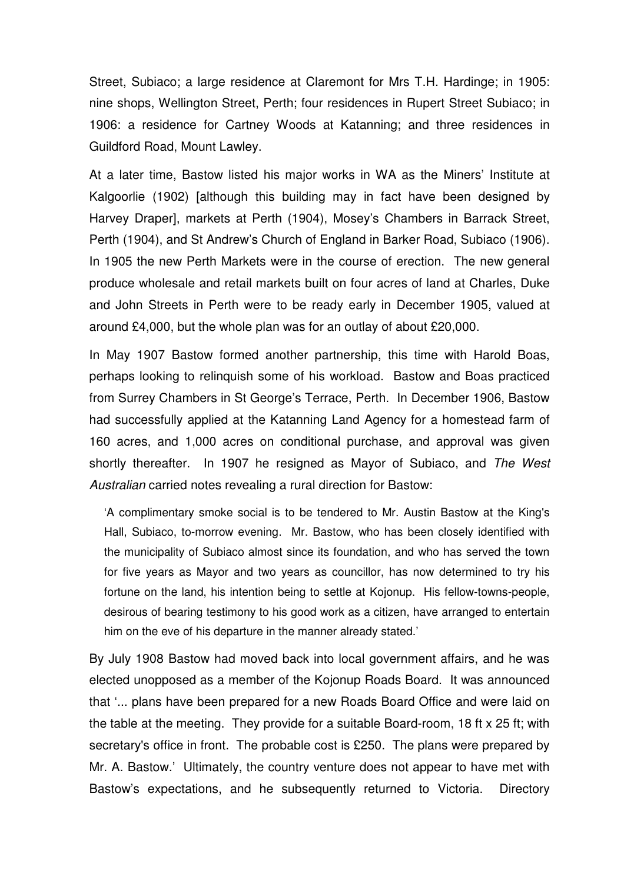Street, Subiaco; a large residence at Claremont for Mrs T.H. Hardinge; in 1905: nine shops, Wellington Street, Perth; four residences in Rupert Street Subiaco; in 1906: a residence for Cartney Woods at Katanning; and three residences in Guildford Road, Mount Lawley.

At a later time, Bastow listed his major works in WA as the Miners' Institute at Kalgoorlie (1902) [although this building may in fact have been designed by Harvey Draper], markets at Perth (1904), Mosey's Chambers in Barrack Street, Perth (1904), and St Andrew's Church of England in Barker Road, Subiaco (1906). In 1905 the new Perth Markets were in the course of erection. The new general produce wholesale and retail markets built on four acres of land at Charles, Duke and John Streets in Perth were to be ready early in December 1905, valued at around £4,000, but the whole plan was for an outlay of about £20,000.

In May 1907 Bastow formed another partnership, this time with Harold Boas, perhaps looking to relinquish some of his workload. Bastow and Boas practiced from Surrey Chambers in St George's Terrace, Perth. In December 1906, Bastow had successfully applied at the Katanning Land Agency for a homestead farm of 160 acres, and 1,000 acres on conditional purchase, and approval was given shortly thereafter. In 1907 he resigned as Mayor of Subiaco, and The West Australian carried notes revealing a rural direction for Bastow:

'A complimentary smoke social is to be tendered to Mr. Austin Bastow at the King's Hall, Subiaco, to-morrow evening. Mr. Bastow, who has been closely identified with the municipality of Subiaco almost since its foundation, and who has served the town for five years as Mayor and two years as councillor, has now determined to try his fortune on the land, his intention being to settle at Kojonup. His fellow-towns-people, desirous of bearing testimony to his good work as a citizen, have arranged to entertain him on the eve of his departure in the manner already stated.'

By July 1908 Bastow had moved back into local government affairs, and he was elected unopposed as a member of the Kojonup Roads Board. It was announced that '... plans have been prepared for a new Roads Board Office and were laid on the table at the meeting. They provide for a suitable Board-room, 18 ft x 25 ft; with secretary's office in front. The probable cost is £250. The plans were prepared by Mr. A. Bastow.' Ultimately, the country venture does not appear to have met with Bastow's expectations, and he subsequently returned to Victoria. Directory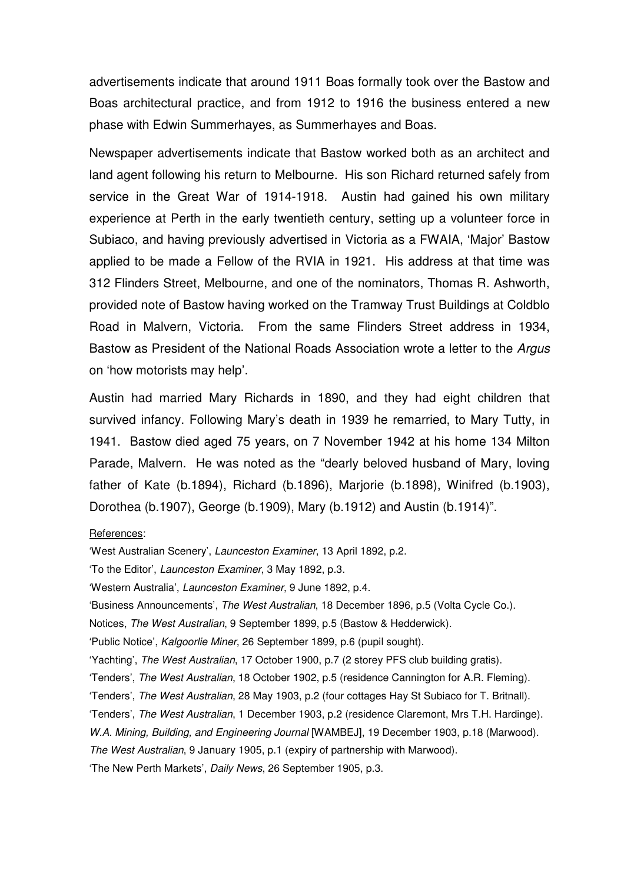advertisements indicate that around 1911 Boas formally took over the Bastow and Boas architectural practice, and from 1912 to 1916 the business entered a new phase with Edwin Summerhayes, as Summerhayes and Boas.

Newspaper advertisements indicate that Bastow worked both as an architect and land agent following his return to Melbourne. His son Richard returned safely from service in the Great War of 1914-1918. Austin had gained his own military experience at Perth in the early twentieth century, setting up a volunteer force in Subiaco, and having previously advertised in Victoria as a FWAIA, 'Major' Bastow applied to be made a Fellow of the RVIA in 1921. His address at that time was 312 Flinders Street, Melbourne, and one of the nominators, Thomas R. Ashworth, provided note of Bastow having worked on the Tramway Trust Buildings at Coldblo Road in Malvern, Victoria. From the same Flinders Street address in 1934, Bastow as President of the National Roads Association wrote a letter to the Argus on 'how motorists may help'.

Austin had married Mary Richards in 1890, and they had eight children that survived infancy. Following Mary's death in 1939 he remarried, to Mary Tutty, in 1941. Bastow died aged 75 years, on 7 November 1942 at his home 134 Milton Parade, Malvern. He was noted as the "dearly beloved husband of Mary, loving father of Kate (b.1894), Richard (b.1896), Marjorie (b.1898), Winifred (b.1903), Dorothea (b.1907), George (b.1909), Mary (b.1912) and Austin (b.1914)".

References:

'West Australian Scenery', Launceston Examiner, 13 April 1892, p.2. 'To the Editor', Launceston Examiner, 3 May 1892, p.3. 'Western Australia', Launceston Examiner, 9 June 1892, p.4. 'Business Announcements', The West Australian, 18 December 1896, p.5 (Volta Cycle Co.). Notices, The West Australian, 9 September 1899, p.5 (Bastow & Hedderwick). 'Public Notice', Kalgoorlie Miner, 26 September 1899, p.6 (pupil sought). 'Yachting', The West Australian, 17 October 1900, p.7 (2 storey PFS club building gratis). 'Tenders', The West Australian, 18 October 1902, p.5 (residence Cannington for A.R. Fleming). 'Tenders', The West Australian, 28 May 1903, p.2 (four cottages Hay St Subiaco for T. Britnall). 'Tenders', The West Australian, 1 December 1903, p.2 (residence Claremont, Mrs T.H. Hardinge). W.A. Mining, Building, and Engineering Journal [WAMBEJ], 19 December 1903, p.18 (Marwood). The West Australian, 9 January 1905, p.1 (expiry of partnership with Marwood). 'The New Perth Markets', Daily News, 26 September 1905, p.3.